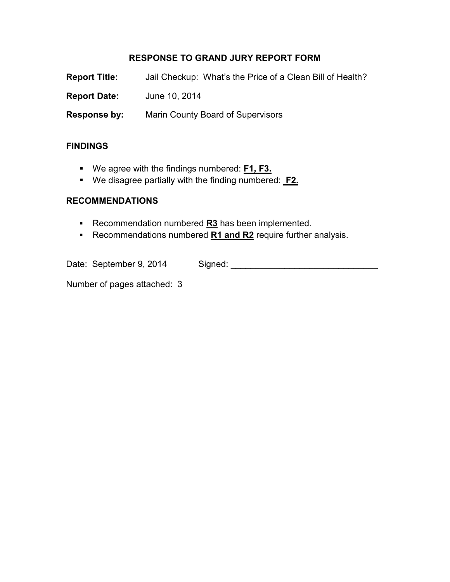# **RESPONSE TO GRAND JURY REPORT FORM**

| <b>Report Title:</b> | Jail Checkup: What's the Price of a Clean Bill of Health? |
|----------------------|-----------------------------------------------------------|
| <b>Report Date:</b>  | June 10, 2014                                             |
| Response by:         | <b>Marin County Board of Supervisors</b>                  |

## **FINDINGS**

- We agree with the findings numbered: **F1, F3.**
- We disagree partially with the finding numbered: **F2.**

### **RECOMMENDATIONS**

- **Recommendation numbered R3** has been implemented.
- Recommendations numbered **R1 and R2** require further analysis.

| Date: September 9, 2014 | Signed: |
|-------------------------|---------|
|-------------------------|---------|

Number of pages attached: 3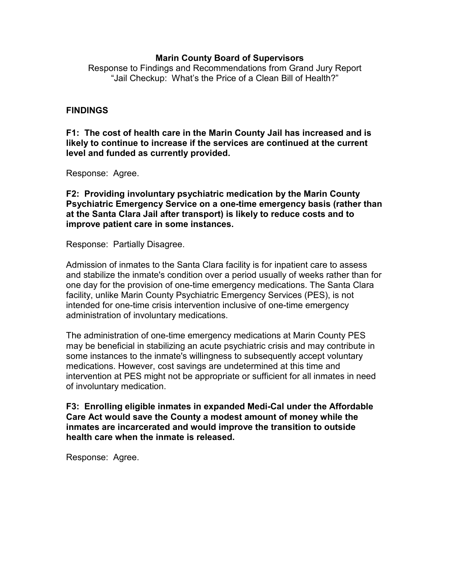#### **Marin County Board of Supervisors**

Response to Findings and Recommendations from Grand Jury Report "Jail Checkup: What's the Price of a Clean Bill of Health?"

### **FINDINGS**

**F1: The cost of health care in the Marin County Jail has increased and is likely to continue to increase if the services are continued at the current level and funded as currently provided.** 

Response: Agree.

**F2: Providing involuntary psychiatric medication by the Marin County Psychiatric Emergency Service on a one-time emergency basis (rather than at the Santa Clara Jail after transport) is likely to reduce costs and to improve patient care in some instances.** 

Response: Partially Disagree.

Admission of inmates to the Santa Clara facility is for inpatient care to assess and stabilize the inmate's condition over a period usually of weeks rather than for one day for the provision of one-time emergency medications. The Santa Clara facility, unlike Marin County Psychiatric Emergency Services (PES), is not intended for one-time crisis intervention inclusive of one-time emergency administration of involuntary medications.

The administration of one-time emergency medications at Marin County PES may be beneficial in stabilizing an acute psychiatric crisis and may contribute in some instances to the inmate's willingness to subsequently accept voluntary medications. However, cost savings are undetermined at this time and intervention at PES might not be appropriate or sufficient for all inmates in need of involuntary medication.

**F3: Enrolling eligible inmates in expanded Medi-Cal under the Affordable Care Act would save the County a modest amount of money while the inmates are incarcerated and would improve the transition to outside health care when the inmate is released.** 

Response: Agree.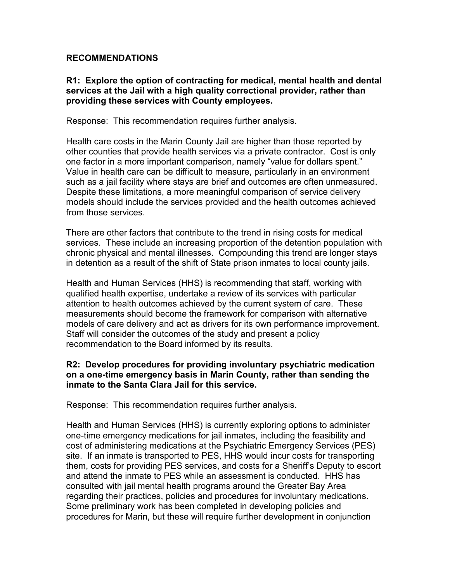### **RECOMMENDATIONS**

### **R1: Explore the option of contracting for medical, mental health and dental services at the Jail with a high quality correctional provider, rather than providing these services with County employees.**

Response: This recommendation requires further analysis.

Health care costs in the Marin County Jail are higher than those reported by other counties that provide health services via a private contractor. Cost is only one factor in a more important comparison, namely "value for dollars spent." Value in health care can be difficult to measure, particularly in an environment such as a jail facility where stays are brief and outcomes are often unmeasured. Despite these limitations, a more meaningful comparison of service delivery models should include the services provided and the health outcomes achieved from those services.

There are other factors that contribute to the trend in rising costs for medical services. These include an increasing proportion of the detention population with chronic physical and mental illnesses. Compounding this trend are longer stays in detention as a result of the shift of State prison inmates to local county jails.

Health and Human Services (HHS) is recommending that staff, working with qualified health expertise, undertake a review of its services with particular attention to health outcomes achieved by the current system of care. These measurements should become the framework for comparison with alternative models of care delivery and act as drivers for its own performance improvement. Staff will consider the outcomes of the study and present a policy recommendation to the Board informed by its results.

### **R2: Develop procedures for providing involuntary psychiatric medication on a one-time emergency basis in Marin County, rather than sending the inmate to the Santa Clara Jail for this service.**

Response: This recommendation requires further analysis.

Health and Human Services (HHS) is currently exploring options to administer one-time emergency medications for jail inmates, including the feasibility and cost of administering medications at the Psychiatric Emergency Services (PES) site. If an inmate is transported to PES, HHS would incur costs for transporting them, costs for providing PES services, and costs for a Sheriff's Deputy to escort and attend the inmate to PES while an assessment is conducted. HHS has consulted with jail mental health programs around the Greater Bay Area regarding their practices, policies and procedures for involuntary medications. Some preliminary work has been completed in developing policies and procedures for Marin, but these will require further development in conjunction